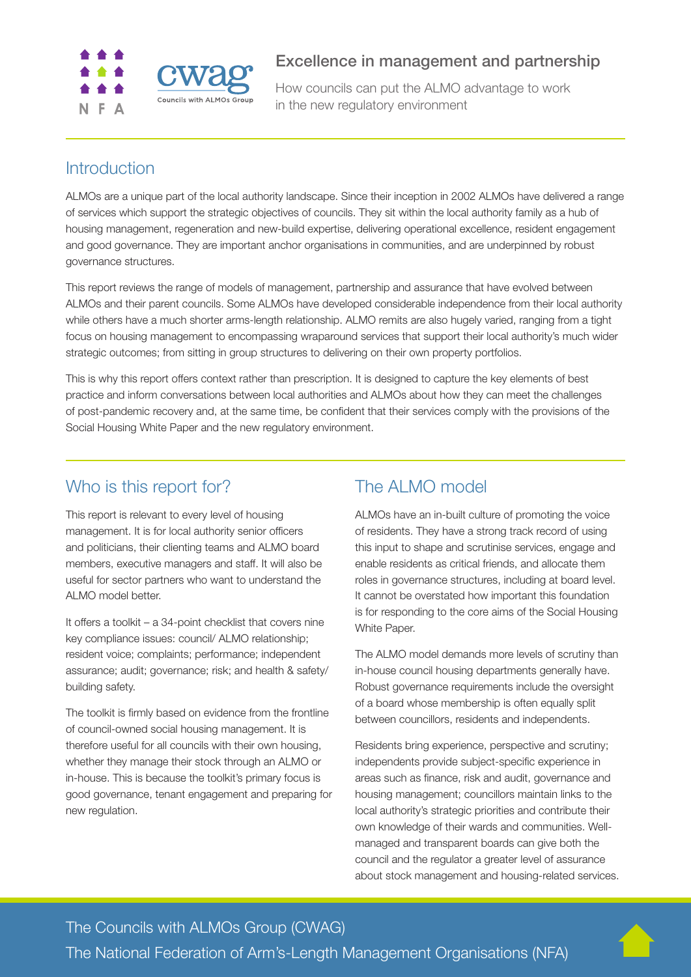

### Excellence in management and partnership

How councils can put the ALMO advantage to work in the new regulatory environment

# **Introduction**

ALMOs are a unique part of the local authority landscape. Since their inception in 2002 ALMOs have delivered a range of services which support the strategic objectives of councils. They sit within the local authority family as a hub of housing management, regeneration and new-build expertise, delivering operational excellence, resident engagement and good governance. They are important anchor organisations in communities, and are underpinned by robust governance structures.

This report reviews the range of models of management, partnership and assurance that have evolved between ALMOs and their parent councils. Some ALMOs have developed considerable independence from their local authority while others have a much shorter arms-length relationship. ALMO remits are also hugely varied, ranging from a tight focus on housing management to encompassing wraparound services that support their local authority's much wider strategic outcomes; from sitting in group structures to delivering on their own property portfolios.

This is why this report offers context rather than prescription. It is designed to capture the key elements of best practice and inform conversations between local authorities and ALMOs about how they can meet the challenges of post-pandemic recovery and, at the same time, be confident that their services comply with the provisions of the Social Housing White Paper and the new regulatory environment.

## Who is this report for?

This report is relevant to every level of housing management. It is for local authority senior officers and politicians, their clienting teams and ALMO board members, executive managers and staff. It will also be useful for sector partners who want to understand the ALMO model better.

It offers a toolkit – a 34-point checklist that covers nine key compliance issues: council/ ALMO relationship; resident voice; complaints; performance; independent assurance; audit; governance; risk; and health & safety/ building safety.

The toolkit is firmly based on evidence from the frontline of council-owned social housing management. It is therefore useful for all councils with their own housing, whether they manage their stock through an ALMO or in-house. This is because the toolkit's primary focus is good governance, tenant engagement and preparing for new regulation.

# The ALMO model

ALMOs have an in-built culture of promoting the voice of residents. They have a strong track record of using this input to shape and scrutinise services, engage and enable residents as critical friends, and allocate them roles in governance structures, including at board level. It cannot be overstated how important this foundation is for responding to the core aims of the Social Housing White Paper.

The ALMO model demands more levels of scrutiny than in-house council housing departments generally have. Robust governance requirements include the oversight of a board whose membership is often equally split between councillors, residents and independents.

Residents bring experience, perspective and scrutiny; independents provide subject-specific experience in areas such as finance, risk and audit, governance and housing management; councillors maintain links to the local authority's strategic priorities and contribute their own knowledge of their wards and communities. Wellmanaged and transparent boards can give both the council and the regulator a greater level of assurance about stock management and housing-related services.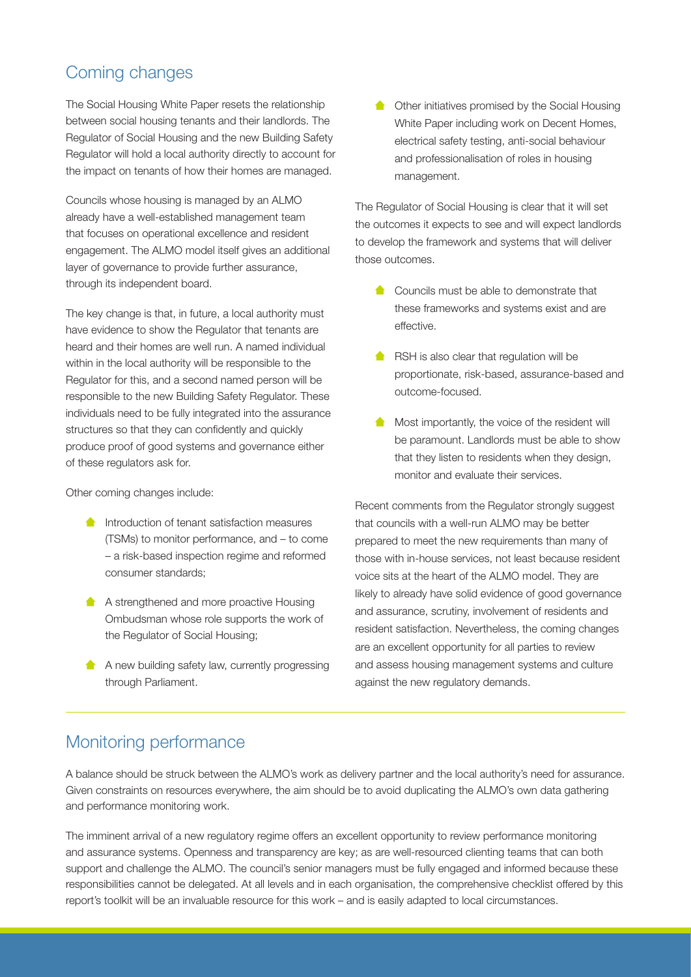## Coming changes

The Social Housing White Paper resets the relationship between social housing tenants and their landlords. The Regulator of Social Housing and the new Building Safety Regulator will hold a local authority directly to account for the impact on tenants of how their homes are managed.

Councils whose housing is managed by an ALMO already have a well-established management team that focuses on operational excellence and resident engagement. The ALMO model itself gives an additional layer of governance to provide further assurance, through its independent board.

The key change is that, in future, a local authority must have evidence to show the Regulator that tenants are heard and their homes are well run. A named individual within in the local authority will be responsible to the Regulator for this, and a second named person will be responsible to the new Building Safety Regulator. These individuals need to be fully integrated into the assurance structures so that they can confidently and quickly produce proof of good systems and governance either of these regulators ask for.

Other coming changes include:

- **Introduction of tenant satisfaction measures** (TSMs) to monitor performance, and – to come – a risk-based inspection regime and reformed consumer standards;
- **A** A strengthened and more proactive Housing Ombudsman whose role supports the work of the Regulator of Social Housing;
- A A new building safety law, currently progressing through Parliament.

**Constructed Constructer Constructer** Other initiatives promised by the Social Housing White Paper including work on Decent Homes, electrical safety testing, anti-social behaviour and professionalisation of roles in housing management.

The Regulator of Social Housing is clear that it will set the outcomes it expects to see and will expect landlords to develop the framework and systems that will deliver those outcomes.

- **Councils must be able to demonstrate that** these frameworks and systems exist and are effective.
- $\triangle$  RSH is also clear that regulation will be proportionate, risk-based, assurance-based and outcome-focused.
- Most importantly, the voice of the resident will  $\bullet$ be paramount. Landlords must be able to show that they listen to residents when they design, monitor and evaluate their services.

Recent comments from the Regulator strongly suggest that councils with a well-run ALMO may be better prepared to meet the new requirements than many of those with in-house services, not least because resident voice sits at the heart of the ALMO model. They are likely to already have solid evidence of good governance and assurance, scrutiny, involvement of residents and resident satisfaction. Nevertheless, the coming changes are an excellent opportunity for all parties to review and assess housing management systems and culture against the new regulatory demands.

### Monitoring performance

A balance should be struck between the ALMO's work as delivery partner and the local authority's need for assurance. Given constraints on resources everywhere, the aim should be to avoid duplicating the ALMO's own data gathering and performance monitoring work.

The imminent arrival of a new regulatory regime offers an excellent opportunity to review performance monitoring and assurance systems. Openness and transparency are key; as are well-resourced clienting teams that can both support and challenge the ALMO. The council's senior managers must be fully engaged and informed because these responsibilities cannot be delegated. At all levels and in each organisation, the comprehensive checklist offered by this report's toolkit will be an invaluable resource for this work – and is easily adapted to local circumstances.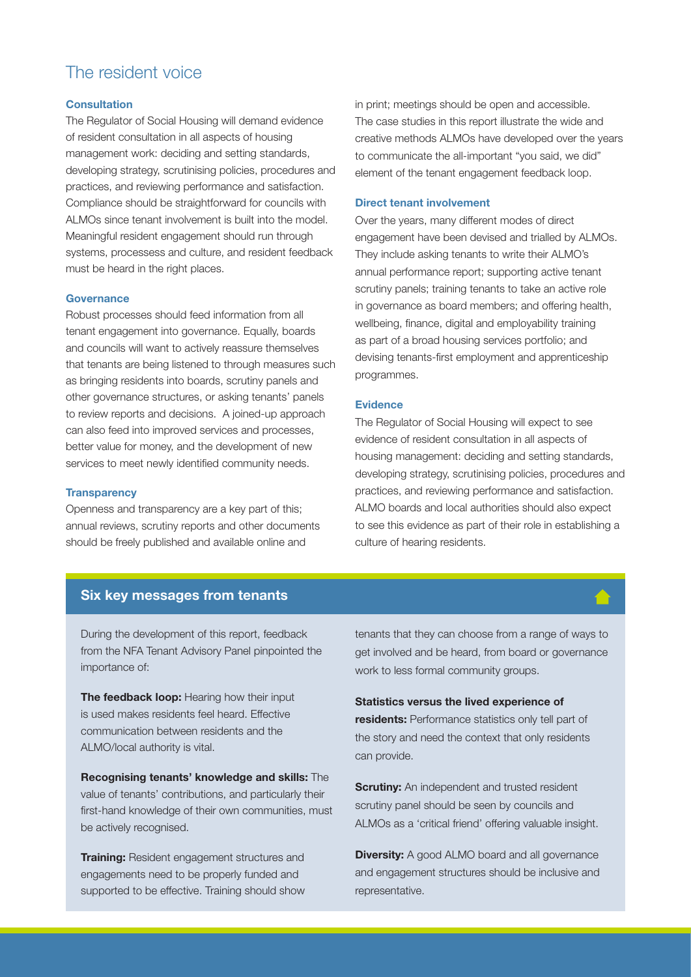### The resident voice

#### **Consultation**

The Regulator of Social Housing will demand evidence of resident consultation in all aspects of housing management work: deciding and setting standards, developing strategy, scrutinising policies, procedures and practices, and reviewing performance and satisfaction. Compliance should be straightforward for councils with ALMOs since tenant involvement is built into the model. Meaningful resident engagement should run through systems, processess and culture, and resident feedback must be heard in the right places.

#### **Governance**

Robust processes should feed information from all tenant engagement into governance. Equally, boards and councils will want to actively reassure themselves that tenants are being listened to through measures such as bringing residents into boards, scrutiny panels and other governance structures, or asking tenants' panels to review reports and decisions. A joined-up approach can also feed into improved services and processes, better value for money, and the development of new services to meet newly identified community needs.

#### **Transparency**

Openness and transparency are a key part of this; annual reviews, scrutiny reports and other documents should be freely published and available online and

in print; meetings should be open and accessible. The case studies in this report illustrate the wide and creative methods ALMOs have developed over the years to communicate the all-important "you said, we did" element of the tenant engagement feedback loop.

#### Direct tenant involvement

Over the years, many different modes of direct engagement have been devised and trialled by ALMOs. They include asking tenants to write their ALMO's annual performance report; supporting active tenant scrutiny panels; training tenants to take an active role in governance as board members; and offering health, wellbeing, finance, digital and employability training as part of a broad housing services portfolio; and devising tenants-first employment and apprenticeship programmes.

#### Evidence

The Regulator of Social Housing will expect to see evidence of resident consultation in all aspects of housing management: deciding and setting standards, developing strategy, scrutinising policies, procedures and practices, and reviewing performance and satisfaction. ALMO boards and local authorities should also expect to see this evidence as part of their role in establishing a culture of hearing residents.

#### Six key messages from tenants

During the development of this report, feedback from the NFA Tenant Advisory Panel pinpointed the importance of:

The feedback loop: Hearing how their input is used makes residents feel heard. Effective communication between residents and the ALMO/local authority is vital.

Recognising tenants' knowledge and skills: The value of tenants' contributions, and particularly their first-hand knowledge of their own communities, must be actively recognised.

**Training:** Resident engagement structures and engagements need to be properly funded and supported to be effective. Training should show

tenants that they can choose from a range of ways to get involved and be heard, from board or governance work to less formal community groups.

Statistics versus the lived experience of residents: Performance statistics only tell part of the story and need the context that only residents can provide.

**Scrutiny:** An independent and trusted resident scrutiny panel should be seen by councils and ALMOs as a 'critical friend' offering valuable insight.

**Diversity:** A good ALMO board and all governance and engagement structures should be inclusive and representative.